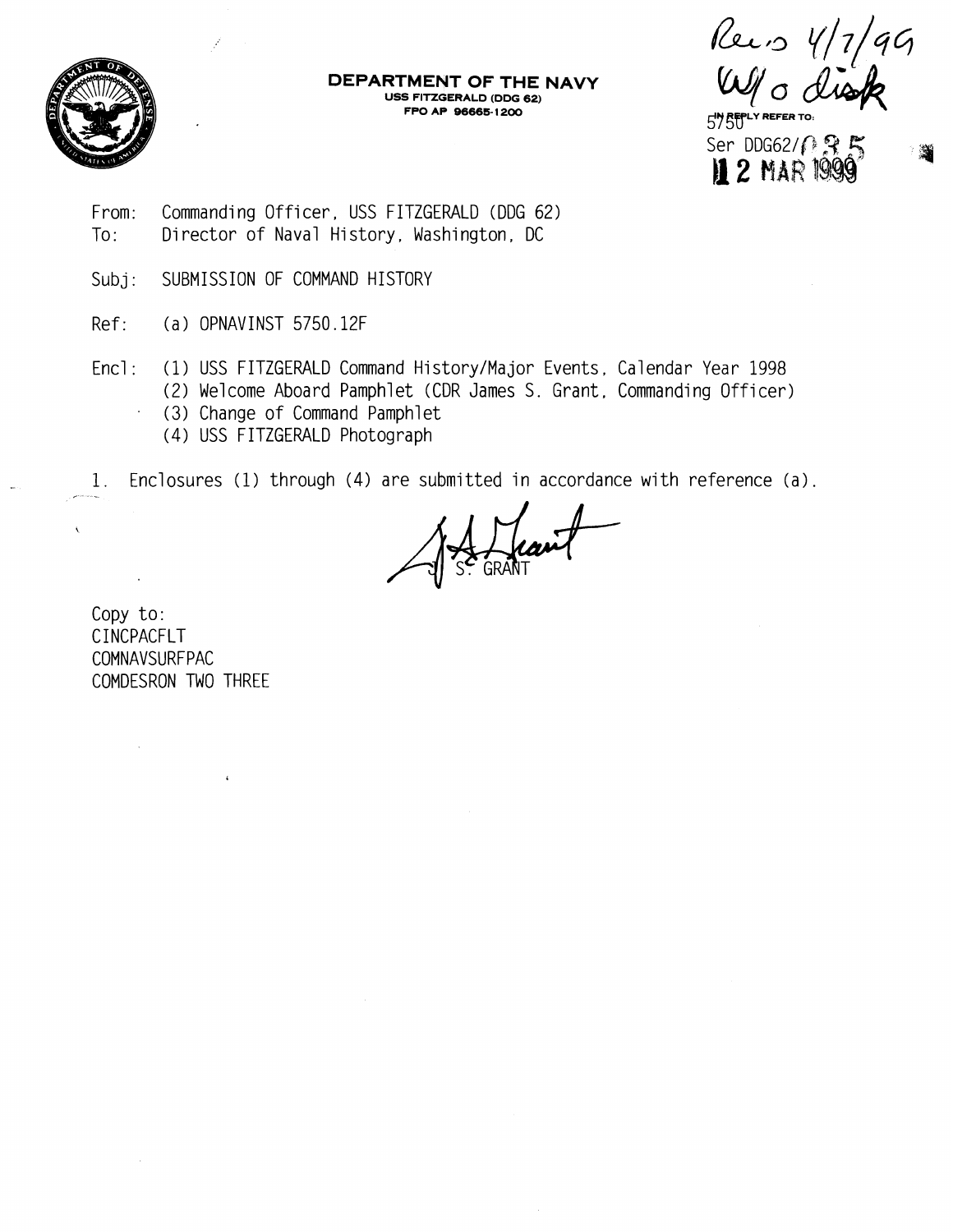

**DEPARTMENT OF THE NAVY USS FITZGERALD (DDG 62)** 

Recis  $4/7/99$ 

**FPO AP 96665- 1 200** *57 58"* **REFER TO.**  Ser DDG62/*1* 3 5 **<sup>11</sup>2 MAR** *1QSp* 

- From: Commanding Officer , USS FITZGERALD (DDG 62) To: Director of Naval History, Washington, DC
- Subj: SUBMISSION OF COMMAND HISTORY
- Ref: (a ) OPNAVINST 5750.12F
- Encl: (1) USS FITZGERALD Command History/Major Events, Calendar Year 1998 (2) Welcome Aboard Pamphlet (CDR James S. Grant, Commanding Officer)
	- (3) Change of Command Pamphlet
	- (4) USS FITZGERALD Photograph

1. Enclosures (1) through (4) are submitted in accordance with reference (a).

Copy to: CINCPACFLT COMNAVSURFPAC COMDESRON TWO THREE

 $\epsilon$ 

 $\mathcal{L}^{\mathcal{A}}$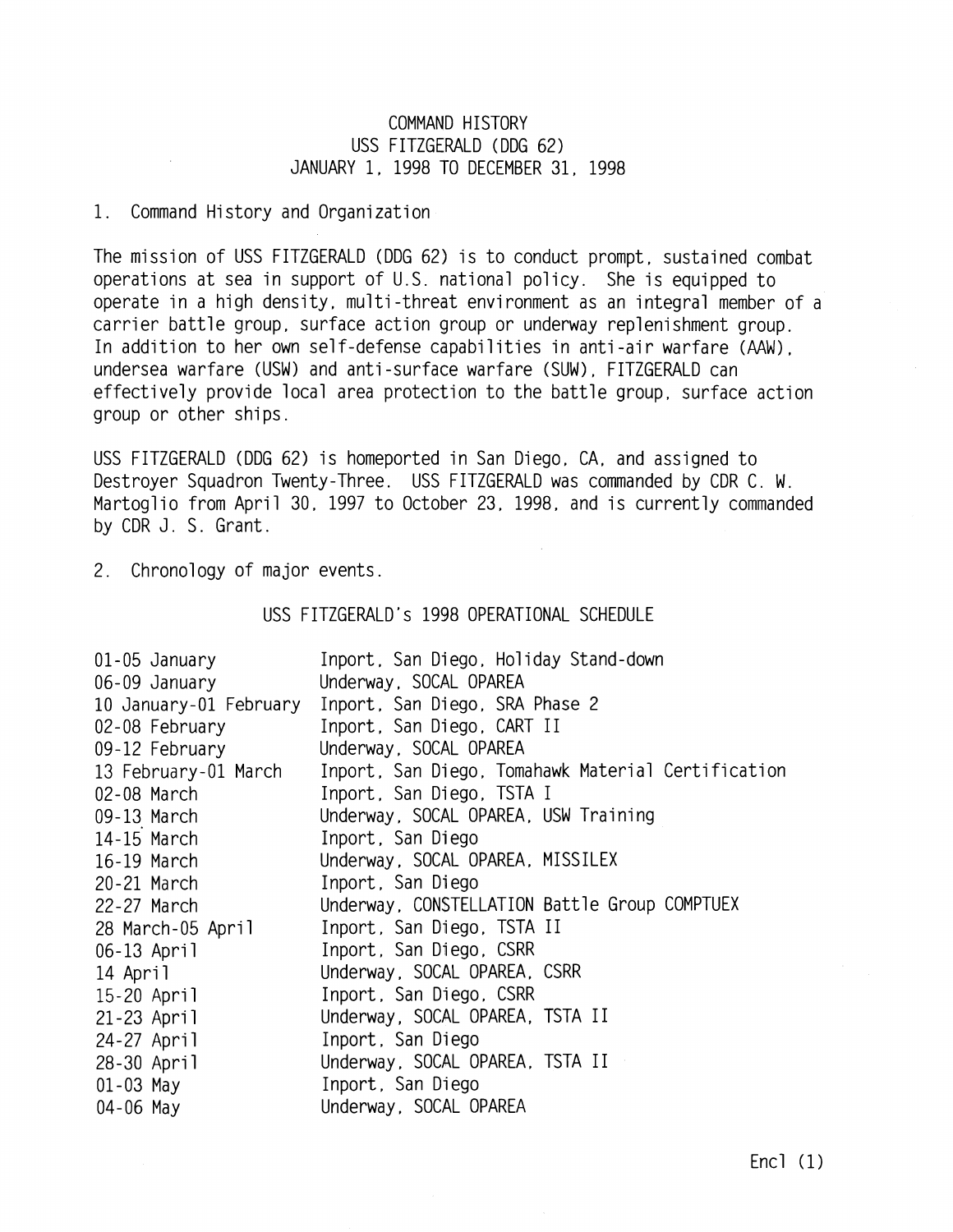## COMMAND HISTORY USS FITZGERALD (DDG 62) JANUARY 1, 1998 TO DECEMBER 31, 1998

## 1. Command History and Organization

The mission of USS FITZGERALD (DDG 62) is to conduct prompt, sustained combat operations at sea in support of U.S. national policy. She is equipped to operate in a high density, multi -threat environment as an integral member of a carrier battle group. surface action group or underway replenishment group. In addition to her own self-defense capabilities in anti -air warfare (AAW), undersea warfare (USW) and anti -surface warfare (SUM) . FITZGERALD can effectively provide local area protection to the battle group, surface action group or other ships .

USS FITZGERALD (DDG 62) is homeported in San Diego, CA, and assigned to Destroyer Squadron Twenty-Three. USS FITZGERALD was commanded by CDR C. W. Martoglio from April 30, 1997 to October 23, 1998, and is currently commanded by CDR J. S. Grant.

2. Chronology of major events.

USS FITZGERALD's 1998 OPERATIONAL SCHEDULE

| 01-05 January          | Inport, San Diego, Holiday Stand-down              |
|------------------------|----------------------------------------------------|
| 06-09 January          | Underway, SOCAL OPAREA                             |
| 10 January-01 February | Inport, San Diego, SRA Phase 2                     |
| 02-08 February         | Inport, San Diego, CART II                         |
| 09-12 February         | Underway, SOCAL OPAREA                             |
| 13 February-01 March   | Inport, San Diego, Tomahawk Material Certification |
| 02-08 March            | Inport, San Diego, TSTA I                          |
| 09-13 March 2001       | Underway, SOCAL OPAREA, USW Training               |
| 14-15 March            | Inport, San Diego                                  |
| 16-19 March            | Underway, SOCAL OPAREA, MISSILEX                   |
| 20-21 March 2001       | Inport, San Diego                                  |
| 22-27 March            | Underway, CONSTELLATION Battle Group COMPTUEX      |
| 28 March-05 April      | Inport, San Diego, TSTA II                         |
| 06-13 April            | Inport, San Diego, CSRR                            |
| 14 April               | Underway, SOCAL OPAREA, CSRR                       |
| 15-20 April            | Inport, San Diego, CSRR                            |
| 21-23 April            | Underway, SOCAL OPAREA, TSTA II                    |
| 24-27 April            | Inport, San Diego                                  |
| 28-30 April            | Underway, SOCAL OPAREA, TSTA II                    |
| $01 - 03$ May          | Inport, San Diego                                  |
| $04 - 06$ May          | Underway, SOCAL OPAREA                             |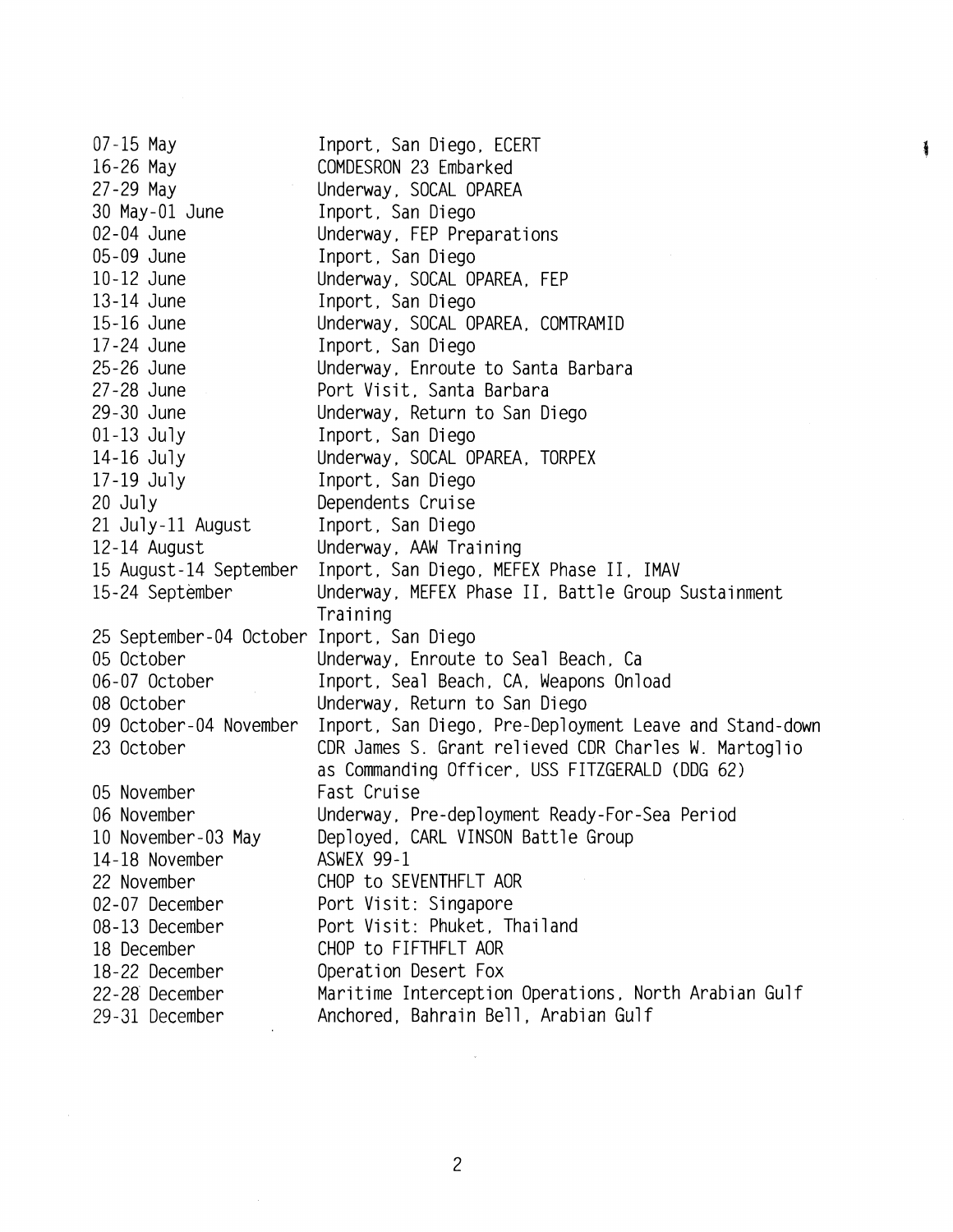07-15 May 16-26 May 27-29 May 30 May-01 June 02 - 04 June 05-09 June 10-12 June 13-14 June 15-16 June 17-24 June 25-26 June 27-28 June 29-30 June 01-13 July 14-16 July 17-19 July 20 July 21 July-11 August 12-14 August 15 August - 14 September 15-24 September 25 September-04 October Inport, San Diego 05 October 06-07 October 08 October 09 October - 04 November 23 October 05 November 06 November 10 November-03 May 14- 18 November 22 November 02-07 December 08-13 December 18 December 18-22 December 22-28' December 29 -31 December Inport, San Diego, ECERT COMDESRON 23 Embarked Underway. SOCAL OPAREA Inport, San Diego Underway, FEP Preparations Inport, San Diego Underway. SOCAL OPAREA, FEP Inport, San Diego Underway, SOCAL OPAREA, COMTRAMID Inport, San Diego Underway. Enroute to Santa Barbara Port Visit, Santa Barbara Underway, Return to San Diego Inport, San Diego Underway, SOCAL OPAREA , TORPEX Inport, San Diego Dependents Crui se Inport, San Diego Underway, AAW Training Inport, San Diego, MEFEX Phase II, IMAV Underway, MEFEX Phase II, Battle Group Sustainment Training Underway, Enroute to Seal Beach. Ca Inport, Seal Beach, CA, Weapons Onload Underway, Return to San Diego Inport, San Diego, Pre-Deployment Leave and Stand-down CDR James S. Grant relieved CDR Charles W. Martoglio as Commanding Officer. USS FITZGERALD (DDG 62) Fast Cruise Underway, Pre-deployment Ready-For-Sea Period Deployed, CARL VINSON Battle Group ASWEX 99-1 CHOP to SEVENTHFLT AOR Port Visit: Singapore Port Visit: Phuket, Thailand CHOP to FIFTHFLT AOR Operation Desert Fox Maritime Interception Operations, North Arabian Gulf Anchored, Bahrain Bell, Arabian Gulf

¥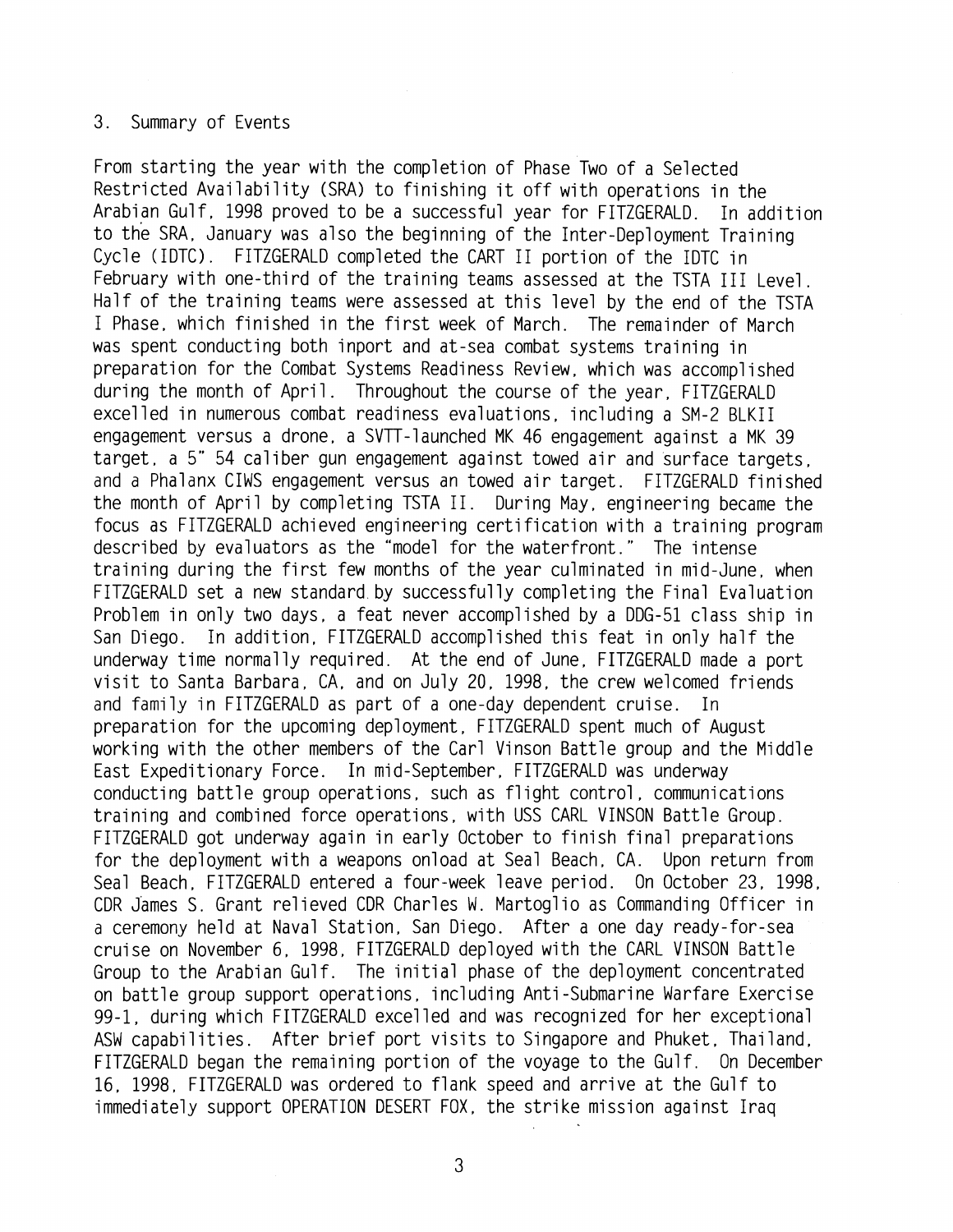## 3. Summary of Events

From starting the year with the completion of Phase Two of a Selected Restricted Availability (SRA) to finishing it off with operations in the Arabian Gulf, 1998 proved to be a successful year for FITZGERALD. In addition to the SRA. January was also the beginning of the Inter-Deployment Training Cycle (IDTC) . FITZGERALD completed the CART I1 portion of the IDTC in February with one-third of the training teams assessed at the TSTA III Level. Half of the training teams were assessed at this level by the end of the TSTA I Phase, which finished in the first week of March. The remainder of March was spent conducting both inport and at-sea combat systems training in<br>preparation for the Combat Systems Readiness Review, which was accomplished during the month of April. Throughout the course of the year, FITZGERALD excelled in numerous combat readiness evaluations, including a SM-2 BLKII engagement versus a drone, a SVTT-launched MK 46 engagement against a MK 39 target. a 5" 54 caliber gun engagement against towed air and surface targets, and a Phalanx CIWS engagement versus an towed air target. FITZGERALD finished the month of April by completing TSTA II. During May, engineering became the focus as FITZGERALD achieved engineering certification with a training program described by evaluators as the "model for the waterfront. " The intense training during the first few months of the year culminated in mid-June, when FITZGERALD set a new standard by successfully completing the Final Evaluation Problem in only two days, a feat never accomplished by a DDG-51 class ship in San Diego. In addition, FITZGERALD accomplished this feat in only half the underway time normally required. At the end of June, FITZGERALD made a port visit to Santa Barbara, CA, and on July 20, 1998, the crew welcomed friends and family in FITZGERALD as part of a one-day dependent cruise. In preparation for the upcoming deployment, FITZGERALD spent much of August working with the other members of the Carl Vinson Battle group and the Middle East Expeditionary Force. In mid-September, FITZGERALD was underway conducting battle group operations , such as fl ight control , communications training and combined force operations, with USS CARL VINSON Battle Group. FITZGERALD got underway again in early October to finish final preparations for the deployment with a weapons onload at Seal Beach, CA. Upon return from Seal Beach, FITZGERALD entered a four-week leave period. On October 23, 1998, CDR James S. Grant relieved CDR Charles W. Martoglio as Commanding Officer in a ceremony held at Naval Station, San Diego. After a one day ready-for-sea cruise on November 6, 1998, FITZGERALD deployed with the CARL VINSON Battle Group to the Arabian Gulf. The initial phase of the deployment concentrated on battle group support operations, including Anti-Submarine Warfare Exercise 99-1, during which FITZGERALD excel led and was recognized for her exceptional ASW capabilities. After brief port visits to Singapore and Phuket, Thai land, FITZGERALD began the remaining portion of the voyage to the Gulf. On December 16, 1998, FITZGERALD was ordered to flank speed and arrive at the Gulf to immediately support OPERATION DESERT FOX, the strike mission against Iraq

3